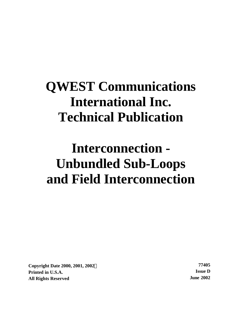# **QWEST Communications International Inc. Technical Publication**

# **Interconnection - Unbundled Sub-Loops and Field Interconnection**

**Copyright Date 2000, 2001, 2002Ó 77405 Printed in U.S.A. Issue D All Rights Reserved June 2002**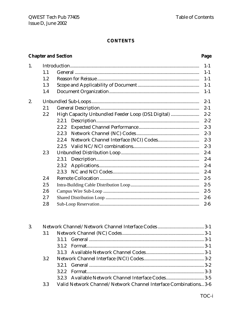# **CONTENTS**

# **Chapter and Section**

# Page

| 1. |     |                                                   | $1-1$   |
|----|-----|---------------------------------------------------|---------|
|    | 1.1 |                                                   | $1-1$   |
|    | 1.2 |                                                   | $1-1$   |
|    | 1.3 |                                                   | $1-1$   |
|    | 1.4 |                                                   | $1-1$   |
| 2. |     |                                                   | $2 - 1$ |
|    | 2.1 |                                                   | $2 - 1$ |
|    | 2.2 | High Capacity Unbundled Feeder Loop (DS1 Digital) | $2 - 2$ |
|    |     | 2.2.1                                             | $2 - 2$ |
|    |     | 2.2.2                                             | $2 - 3$ |
|    |     | 2.2.3                                             | $2 - 3$ |
|    |     | 2.2.4                                             | $2 - 3$ |
|    |     | 2.2.5                                             | $2 - 3$ |
|    | 2.3 |                                                   | $2 - 4$ |
|    |     | 2.3.1                                             | $2 - 4$ |
|    |     | 2.3.2                                             | $2 - 4$ |
|    |     | 2.3.3                                             | $2 - 4$ |
|    | 2.4 |                                                   | $2 - 5$ |
|    | 2.5 |                                                   | $2 - 5$ |
|    | 2.6 |                                                   | $2 - 5$ |
|    | 2.7 |                                                   | $2-6$   |
|    | 2.8 |                                                   | $2-6$   |
|    |     |                                                   |         |

| 3. |     |                                                                  |  |
|----|-----|------------------------------------------------------------------|--|
|    | 3.1 |                                                                  |  |
|    |     |                                                                  |  |
|    |     |                                                                  |  |
|    |     |                                                                  |  |
|    | 3.2 |                                                                  |  |
|    |     |                                                                  |  |
|    |     |                                                                  |  |
|    |     | 3.2.3 Available Network Channel Interface Codes 3-5              |  |
|    | 3.3 | Valid Network Channel/Network Channel Interface Combinations 3-6 |  |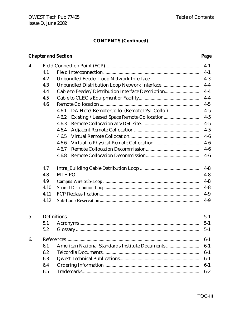# **CONTENTS (Continued)**

# **Chapter and Section Page**

| 4. |      |                                                          | $4-1$   |  |  |  |
|----|------|----------------------------------------------------------|---------|--|--|--|
|    | 4.1  |                                                          | $4 - 1$ |  |  |  |
|    | 4.2  |                                                          | $4 - 3$ |  |  |  |
|    | 4.3  | Unbundled Distribution Loop Network Interface            | $4-4$   |  |  |  |
|    | 4.4  | Cable to Feeder/Distribution Interface Description       | $4-4$   |  |  |  |
|    | 4.5  |                                                          | $4-4$   |  |  |  |
|    | 4.6  |                                                          | $4 - 5$ |  |  |  |
|    |      | 4.6.1                                                    | $4-5$   |  |  |  |
|    |      | 4.6.2                                                    | $4 - 5$ |  |  |  |
|    |      | 4.6.3                                                    | $4 - 5$ |  |  |  |
|    |      | 4.6.4                                                    | $4 - 5$ |  |  |  |
|    |      | 4.6.5                                                    | $4-6$   |  |  |  |
|    |      | 4.6.6                                                    | $4-6$   |  |  |  |
|    |      | 4.6.7                                                    | $4-6$   |  |  |  |
|    |      | 4.6.8                                                    | $4-6$   |  |  |  |
|    | 4.7  |                                                          | $4 - 8$ |  |  |  |
|    | 4.8  |                                                          | $4 - 8$ |  |  |  |
|    | 4.9  |                                                          | $4 - 8$ |  |  |  |
|    | 4.10 |                                                          | $4 - 8$ |  |  |  |
|    | 4.11 |                                                          | $4-9$   |  |  |  |
|    | 4.12 |                                                          | $4-9$   |  |  |  |
|    |      |                                                          |         |  |  |  |
| 5. |      |                                                          | $5 - 1$ |  |  |  |
|    | 5.1  |                                                          | $5 - 1$ |  |  |  |
|    | 5.2  |                                                          | $5 - 1$ |  |  |  |
| 6. |      |                                                          |         |  |  |  |
|    | 6.1  | American National Standards Institute Documents<br>$6-1$ |         |  |  |  |
|    | 6.2  |                                                          | $6-1$   |  |  |  |
|    | 6.3  |                                                          | $6-1$   |  |  |  |
|    | 6.4  | $6-1$                                                    |         |  |  |  |
|    | 6.5  |                                                          | $6-2$   |  |  |  |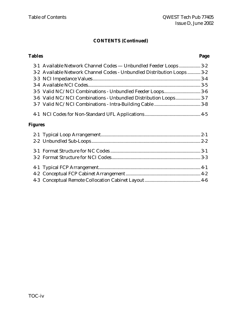# **CONTENTS (Continued)**

# **Tables Page** 3-1 Available Network Channel Codes — Unbundled Feeder Loops .................. 3-2 3-2 Available Network Channel Codes - Unbundled Distribution Loops ........... 3-2 3-3 NCI Impedance Values........................................................................................... 3-4 3-4 Available NCI Codes............................................................................................... 3-5 3-5 Valid NC/NCI Combinations - Unbundled Feeder Loops............................... 3-6 3-6 Valid NC/NCI Combinations - Unbundled Distribution Loops..................... 3-7 3-7 Valid NC/NCI Combinations - Intra-Building Cable ....................................... 3-8 4-1 NCI Codes for Non-Standard UFL Applications ............................................... 4-5 **Figures**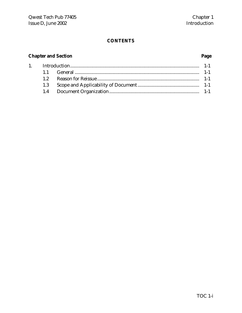# **CONTENTS**

# **Chapter and Section Page**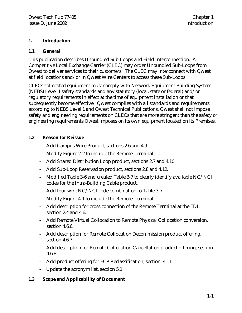# **1. Introduction**

# **1.1 General**

This publication describes Unbundled Sub-Loops and Field Interconnection. A Competitive Local Exchange Carrier (CLEC) may order Unbundled Sub-Loops from Qwest to deliver services to their customers. The CLEC may interconnect with Qwest at field locations and/or in Qwest Wire Centers to access these Sub-Loops.

CLECs collocated equipment must comply with Network Equipment Building System (NEBS) Level 1 safety standards and any statutory (local, state or federal) and/or regulatory requirements in effect at the time of equipment installation or that subsequently become effective. Qwest complies with all standards and requirements according to NEBS Level 1 and Qwest Technical Publications. Qwest shall not impose safety and engineering requirements on CLECs that are more stringent than the safety or engineering requirements Qwest imposes on its own equipment located on its Premises.

# **1.2 Reason for Reissue**

- **-** Add Campus Wire Product, sections 2.6 and 4.9.
- **-** Modify Figure 2-2 to include the Remote Terminal.
- **-** Add Shared Distribution Loop product, sections 2.7 and 4.10
- **-** Add Sub-Loop Reservation product, sections 2.8 and 4.12.
- **-** Modified Table 3-6 and created Table 3-7 to clearly identify available NC/NCI codes for the Intra-Building Cable product.
- **-** Add four wire NC/NCI code combination to Table 3-7
- **-** Modify Figure 4-1 to include the Remote Terminal.
- **-** Add description for cross connection of the Remote Terminal at the FDI, section 2.4 and 4.6.
- **-** Add Remote Virtual Collocation to Remote Physical Collocation conversion, section 4.6.6.
- **-** Add description for Remote Collocation Decommission product offering, section 4.6.7.
- **-** Add description for Remote Collocation Cancellation product offering, section 4.6.8.
- **-** Add product offering for FCP Reclassification, section 4.11.
- **-** Update the acronym list, section 5.1

# **1.3 Scope and Applicability of Document**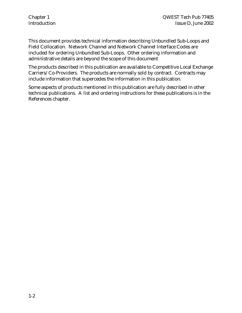This document provides technical information describing Unbundled Sub-Loops and Field Collocation. Network Channel and Network Channel Interface Codes are included for ordering Unbundled Sub-Loops. Other ordering information and administrative details are beyond the scope of this document

The products described in this publication are available to Competitive Local Exchange Carriers/Co-Providers. The products are normally sold by contract. Contracts may include information that supercedes the information in this publication.

Some aspects of products mentioned in this publication are fully described in other technical publications. A list and ordering instructions for these publications is in the References chapter.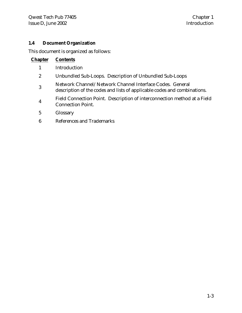# **1.4 Document Organization**

This document is organized as follows:

| <b>Chapter</b>   | <b>Contents</b>                                                                                                                      |
|------------------|--------------------------------------------------------------------------------------------------------------------------------------|
|                  | Introduction                                                                                                                         |
| $\boldsymbol{2}$ | Unbundled Sub-Loops. Description of Unbundled Sub-Loops                                                                              |
| 3                | Network Channel/Network Channel Interface Codes. General<br>description of the codes and lists of applicable codes and combinations. |
| $\overline{4}$   | Field Connection Point. Description of interconnection method at a Field<br><b>Connection Point.</b>                                 |
|                  |                                                                                                                                      |

- 5 Glossary
- 6 References and Trademarks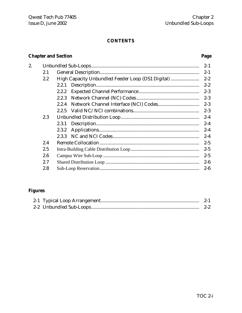# **CONTENTS**

# **Chapter and Section**

# Page

| 2. |     |                                                   | $2 - 1$ |
|----|-----|---------------------------------------------------|---------|
|    | 2.1 |                                                   | $2 - 1$ |
|    | 2.2 | High Capacity Unbundled Feeder Loop (DS1 Digital) | $2 - 2$ |
|    |     | 2.2.1                                             | $2 - 2$ |
|    |     | 2.2.2                                             | $2 - 3$ |
|    |     | 2.2.3                                             | $2 - 3$ |
|    |     | 2.2.4                                             | $2 - 3$ |
|    |     | 2.2.5                                             | $2 - 3$ |
|    | 2.3 |                                                   | $2 - 4$ |
|    |     | 2.3.1                                             | $2 - 4$ |
|    |     | 2.3.2                                             | $2 - 4$ |
|    |     |                                                   | $2 - 4$ |
|    | 2.4 |                                                   | $2 - 5$ |
|    | 2.5 |                                                   | $2 - 5$ |
|    | 2.6 |                                                   | $2 - 5$ |
|    | 2.7 |                                                   | $2 - 6$ |
|    | 2.8 |                                                   | $2 - 6$ |

# **Figures**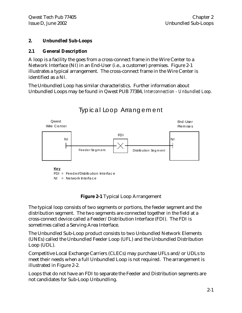# **2. Unbundled Sub-Loops**

# **2.1 General Description**

A loop is a facility the goes from a cross-connect frame in the Wire Center to a Network Interface (NI) in an End-User (i.e., a customer) premises. Figure 2-1 illustrates a typical arrangement. The cross-connect frame in the Wire Center is identified as a NI.

The Unbundled Loop has similar characteristics. Further information about Unbundled Loops may be found in Qwest PUB 77384, *Interconnection - Unbundled Loop.*



# Typical Loop Arrangement

# **Figure 2-1** Typical Loop Arrangement

The typical loop consists of two segments or portions, the feeder segment and the distribution segment. The two segments are connected together in the field at a cross-connect device called a Feeder/Distribution Interface (FDI). The FDI is sometimes called a Serving Area Interface.

The Unbundled Sub-Loop product consists to two Unbundled Network Elements (UNEs) called the Unbundled Feeder Loop (UFL) and the Unbundled Distribution Loop (UDL).

Competitive Local Exchange Carriers (CLECs) may purchase UFLs and/or UDLs to meet their needs when a full Unbundled Loop is not required. The arrangement is illustrated in Figure 2-2.

Loops that do not have an FDI to separate the Feeder and Distribution segments are not candidates for Sub-Loop Unbundling.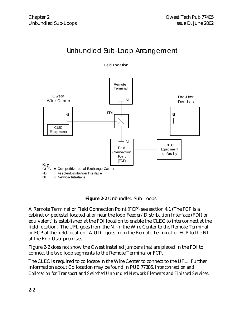# Unbundled Sub-Loop Arrangement





# **Figure 2-2** Unbundled Sub-Loops

A Remote Terminal or Field Connection Point (FCP) see section 4.1 (The FCP is a cabinet or pedestal located at or near the loop Feeder/Distribution Interface (FDI) or equivalent) is established at the FDI location to enable the CLEC to interconnect at the field location. The UFL goes from the NI in the Wire Center to the Remote Terminal or FCP at the field location. A UDL goes from the Remote Terminal or FCP to the NI at the End-User premises.

Figure 2-2 does not show the Qwest installed jumpers that are placed in the FDI to connect the two loop segments to the Remote Terminal or FCP.

The CLEC is required to collocate in the Wire Center to connect to the UFL. Further information about Collocation may be found in PUB 77386, *Interconnection and Collocation for Transport and Switched Unbundled Network Elements and Finished Services.*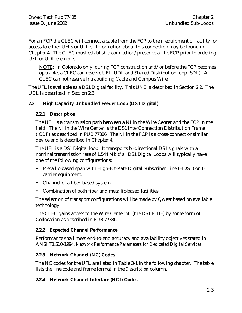For an FCP the CLEC will connect a cable from the FCP to their equipment or facility for access to either UFLs or UDLs. Information about this connection may be found in Chapter 4. The CLEC must establish a connection/presence at the FCP prior to ordering UFL or UDL elements.

NOTE: In Colorado only, during FCP construction and/or before the FCP becomes operable, a CLEC can reserve UFL, UDL and Shared Distribution loop (SDL).. A CLEC can not reserve Intrabuilding Cable and Campus Wire.

The UFL is available as a DS1 Digital facility. This UNE is described in Section 2.2. The UDL is described in Section 2.3.

# **2.2 High Capacity Unbundled Feeder Loop (DS1 Digital)**

# **2.2.1 Description**

The UFL is a transmission path between a NI in the Wire Center and the FCP in the field. The NI in the Wire Center is the DS1 InterConnection Distribution Frame (ICDF) as described in PUB 77386. The NI in the FCP is a cross-connect or similar device and is described in Chapter 4.

The UFL is a DS1 Digital loop. It transports bi-directional DS1 signals with a nominal transmission rate of 1.544 Mbit/s. DS1 Digital Loops will typically have one of the following configurations:

- Metallic-based span with High-Bit-Rate Digital Subscriber Line (HDSL) or T-1 carrier equipment.
- Channel of a fiber-based system.
- Combination of both fiber and metallic-based facilities.

The selection of transport configurations will be made by Qwest based on available technology.

The CLEC gains access to the Wire Center NI (the DS1 ICDF) by some form of Collocation as described in PUB 77386.

# **2.2.2 Expected Channel Performance**

Performance shall meet end-to-end accuracy and availability objectives stated in ANSI T1.510-1994, *Network Performance Parameters for Dedicated Digital Services.*

# **2.2.3 Network Channel (NC) Codes**

The NC codes for the UFL are listed in Table 3-1 in the following chapter. The table lists the line code and frame format in the *Description* column.

# **2.2.4 Network Channel Interface (NCI) Codes**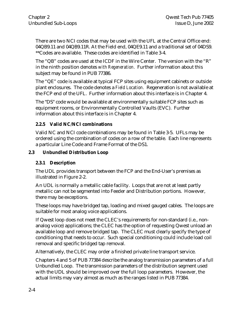There are two NCI codes that may be used with the UFL at the Central Office end: 04QB9.11 and 04QB9.11R. At the Field end, 04QE9.11 and a traditional set of 04DS9. \*\*Codes are available. These codes are identified in Table 3-4.

The "QB" codes are used at the ICDF in the Wire Center. The version with the "R" in the ninth position denotes *with Regeneration.* Further information about this subject may be found in PUB 77386.

The "QE" code is available at typical FCP sites using equipment cabinets or outside plant enclosures. The code denotes a *Field Location.* Regeneration is not available at the FCP end of the UFL. Further information about this interface is in Chapter 4.

The "DS" code would be available at environmentally suitable FCP sites such as equipment rooms, or Environmentally Controlled Vaults (EVC). Further information about this interface is in Chapter 4.

# **2.2.5 Valid NC/NCI combinations**

Valid NC and NCI code combinations may be found in Table 3-5. UFLs may be ordered using the combination of codes on a row of the table. Each line represents a particular Line Code and Frame Format of the DS1.

# **2.3 Unbundled Distribution Loop**

# **2.3.1 Description**

The UDL provides transport between the FCP and the End-User's premises as illustrated in Figure 2-2.

An UDL is normally a metallic cable facility. Loops that are not at least partly metallic can not be segmented into Feeder and Distribution portions. However, there may be exceptions.

These loops may have bridged tap, loading and mixed gauged cables. The loops are suitable for most analog voice applications.

If Qwest loop does not meet the CLEC's requirements for non-standard (i.e., nonanalog voice) applications; the CLEC has the option of requesting Qwest unload an available loop and remove bridged tap. The CLEC must clearly specify the type of conditioning that needs to occur. Such special conditioning could include load coil removal and specific bridged tap removal.

Alternatively, the CLEC may order a finished private line transport service.

Chapters 4 and 5 of PUB 77384 describe the analog transmission parameters of a full Unbundled Loop. The transmission parameters of the distribution segment used with the UDL should be improved over the full loop parameters. However, the actual limits may vary almost as much as the ranges listed in PUB 77384.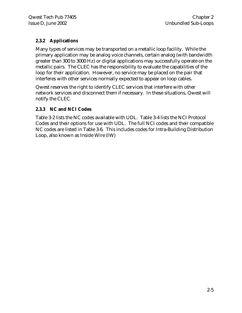# **2.3.2 Applications**

Many types of services may be transported on a metallic loop facility. While the primary application may be analog voice channels, certain analog (with bandwidth greater than 300 to 3000 Hz) or digital applications may successfully operate on the metallic pairs. The CLEC has the responsibility to evaluate the capabilities of the loop for their application. However, no service may be placed on the pair that interferes with other services normally expected to appear on loop cables.

Qwest reserves the right to identify CLEC services that interfere with other network services and disconnect them if necessary. In these situations, Qwest will notify the CLEC.

# **2.3.3 NC and NCI Codes**

Table 3-2 lists the NC codes available with UDL. Table 3-4 lists the NCI Protocol Codes and their options for use with UDL. The full NCI codes and their compatible NC codes are listed in Table 3-6. This includes codes for Intra-Building Distribution Loop, also known as Inside Wire (IW)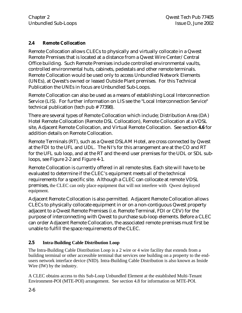# **2.4 Remote Collocation**

Remote Collocation allows CLECs to physically and virtually collocate in a Qwest Remote Premises that is located at a distance from a Qwest Wire Center/Central Office building. Such Remote Premises include controlled environmental vaults, controlled environmental huts, cabinets, pedestals and other remote terminals. Remote Collocation would be used only to access Unbundled Network Elements (UNEs), at Qwest's owned or leased Outside Plant premises. For this Technical Publication the UNEs in focus are Unbundled Sub-Loops.

Remote Collocation can also be used as a means of establishing Local Interconnection Service (LIS). For further information on LIS see the "Local Interconnection Service" technical publication (tech pub # 77398).

There are several types of Remote Collocation which include; Distribution Area (DA) Hotel Remote Collocation (Remote DSL Collocation), Remote Collocation at a VDSL site, Adjacent Remote Collocation, and Virtual Remote Collocation. See section **4.6** for addition details on Remote Collocation.

Remote Terminals (RT), such as a Qwest DSLAM Hotel, are cross connected by Qwest at the FDI to the UFL and UDL. The NI's for this arrangement are at the CO and RT for the UFL sub loop, and at the RT and the end user premises for the UDL or SDL subloops, see Figure 2-2 and Figure 4-1.

Remote Collocation is currently offered in all remote sites. Each site will have to be evaluated to determine if the CLEC's equipment meets all of the technical requirements for a specific site. Although a CLEC can collocate at remote VDSL premises, the CLEC can only place equipment that will not interfere with Qwest deployed equipment.

Adjacent Remote Collocation is also permitted. Adjacent Remote Collocation allows CLECs to physically collocate equipment in or on a non-contiguous Qwest property adjacent to a Qwest Remote Premises (i.e. Remote Terminal, FDI or CEV) for the purpose of interconnecting with Qwest to purchase sub-loop elements. Before a CLEC can order Adjacent Remote Collocation, the associated remote premises must first be unable to fulfill the space requirements of the CLEC.

# **2.5 Intra-Building Cable Distribution Loop**

The Intra-Building Cable Distribution Loop is a 2 wire or 4 wire facility that extends from a building terminal or other accessible terminal that services one building on a property to the endusers network interface device (NID). Intra-Building Cable Distribution is also known as Inside Wire (IW) by the industry.

A CLEC obtains access to this Sub-Loop Unbundled Element at the established Multi-Tenant Environment-POI (MTE-POI) arrangement. See section 4.8 for information on MTE-POI.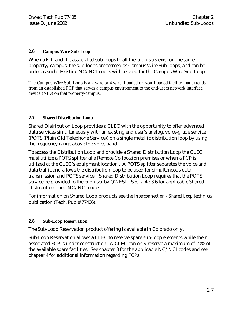#### **2.6 Campus Wire Sub-Loop**

When a FDI and the associated sub-loops to all the end users exist on the same property/campus, the sub-loops are termed as Campus Wire Sub-loops, and can be order as such. Existing NC/NCI codes will be used for the Campus Wire Sub-Loop.

The Campus Wire Sub-Loop is a 2 wire or 4 wire, Loaded or Non-Loaded facility that extends from an established FCP that serves a campus environment to the end-users network interface device (NID) on that property/campus.

#### **2.7 Shared Distribution Loop**

Shared Distribution Loop provides a CLEC with the opportunity to offer advanced data services simultaneously with an existing end user's analog, voice-grade service (POTS (Plain Old Telephone Service)) on a single metallic distribution loop by using the frequency range above the voice band.

To access the Distribution Loop and provide a Shared Distribution Loop the CLEC must utilize a POTS splitter at a Remote Collocation premises or when a FCP is utilized at the CLEC's equipment location . A POTS splitter separates the voice and data traffic and allows the distribution loop to be used for simultaneous data transmission and POTS service. Shared Distribution Loop requires that the POTS service be provided to the end user by QWEST. See table 3-6 for applicable Shared Distribution Loop NC/NCI codes.

For information on Shared Loop products see the *Interconnection - Shared Loop* technical publication (Tech. Pub # 77406).

# **2.8 Sub-Loop Reservation**

The Sub-Loop Reservation product offering is available in Colorado only.

Sub-Loop Reservation allows a CLEC to reserve spare sub-loop elements while their associated FCP is under construction. A CLEC can only reserve a maximum of 20% of the available spare facilities. See chapter 3 for the applicable NC/NCI codes and see chapter 4 for additional information regarding FCPs.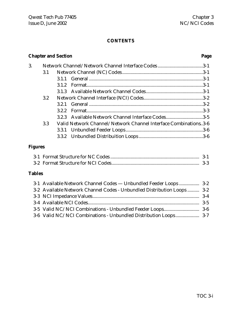# **CONTENTS**

# **Chapter and Section Page**

| 3. |     |     |                                                                 |  |
|----|-----|-----|-----------------------------------------------------------------|--|
|    | 3.1 |     |                                                                 |  |
|    |     |     |                                                                 |  |
|    |     | 312 |                                                                 |  |
|    |     |     |                                                                 |  |
|    | 3.2 |     |                                                                 |  |
|    |     |     |                                                                 |  |
|    |     |     |                                                                 |  |
|    |     |     | 3.2.3 Available Network Channel Interface Codes3-5              |  |
|    | 3.3 |     | Valid Network Channel/Network Channel Interface Combinations3-6 |  |
|    |     |     |                                                                 |  |
|    |     |     |                                                                 |  |
|    |     |     |                                                                 |  |

# **Figures**

# **Tables**

| 3-1 Available Network Channel Codes — Unbundled Feeder Loops  3-2       |  |
|-------------------------------------------------------------------------|--|
| 3-2 Available Network Channel Codes - Unbundled Distribution Loops  3-2 |  |
|                                                                         |  |
|                                                                         |  |
|                                                                         |  |
|                                                                         |  |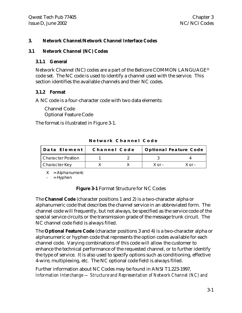# **3. Network Channel/Network Channel Interface Codes**

# **3.1 Network Channel (NC) Codes**

#### **3.1.1 General**

Network Channel (NC) codes are a part of the Bellcore COMMON LANGUAGE® code set. The NC code is used to identify a channel used with the service. This section identifies the available channels and their NC codes.

# **3.1.2 Format**

A NC code is a four-character code with two data elements:

Channel Code Optional Feature Code

The format is illustrated in Figure 3-1.

| Data Element       | Channel Code |              | <b>Optional Feature Code</b> |
|--------------------|--------------|--------------|------------------------------|
| Character Position |              |              |                              |
| Character Key      |              | $X \cap r -$ | X ∩r -                       |

**Network Channel Code**

 $X =$  Alphanumeric

 $-$  = Hyphen

**Figure 3-1** Format Structure for NC Codes

The **Channel Code** (character positions 1 and 2) is a two-character alpha or alphanumeric code that describes the channel service in an abbreviated form. The channel code will frequently, but not always, be specified as the service code of the special service circuits or the transmission grade of the message trunk circuit. The NC channel code field is always filled.

The **Optional Feature Code** (character positions 3 and 4) is a two-character alpha or alphanumeric or hyphen code that represents the option codes available for each channel code. Varying combinations of this code will allow the customer to enhance the technical performance of the requested channel, or to further identify the type of service. It is also used to specify options such as conditioning, effective 4-wire, multiplexing, etc. The NC optional code field is always filled.

Further information about NC Codes may be found in ANSI T1.223-1997, *Information Interchange — Structure and Representation of Network Channel (NC) and*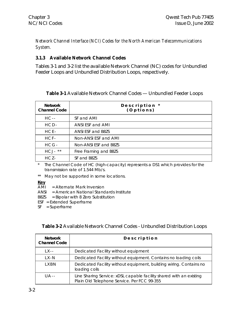*Network Channel Interface (NCI) Codes for the North American Telecommunications System.*

# **3.1.3 Available Network Channel Codes**

Tables 3-1 and 3-2 list the available Network Channel (NC) codes for Unbundled Feeder Loops and Unbundled Distribution Loops, respectively.

| <b>Network</b><br><b>Channel Code</b> | Description *<br>(Options) |
|---------------------------------------|----------------------------|
| $HC -$                                | SF and AMI                 |
| $HCD-$                                | ANSI ESF and AMI           |
| $HCE-$                                | ANSI ESF and B8ZS          |
| $HCF-$                                | Non-ANSI ESF and AMI       |
| $HCG-$                                | Non-ANSI ESF and B8ZS      |
| HCJ-<br>$\star\star$                  | Free Framing and B8ZS      |
| $HCZ-$                                | SF and B8ZS                |

# **Table 3-1** Available Network Channel Codes — Unbundled Feeder Loops

\* The Channel Code of HC (high-capacity) represents a DS1 which provides for the transmission rate of 1.544 Mb/s.

\*\* May not be supported in some locations.

**Key**

- AMI = Alternate Mark Inversion
- ANSI = American National Standards Institute
- B8ZS = Bipolar with 8 Zero Substitution
- ESF = Extended Superframe
- SF = Superframe

# **Table 3-2** Available Network Channel Codes - Unbundled Distribution Loops

| <b>Network</b><br><b>Channel Code</b> | Description                                                                                                        |
|---------------------------------------|--------------------------------------------------------------------------------------------------------------------|
| $1 X -$                               | Dedicated Facility without equipment                                                                               |
| 1 X - N                               | Dedicated Facility without equipment. Contains no loading coils                                                    |
| LXBN                                  | Dedicated Facility without equipment, building wiring. Contains no<br>loading coils                                |
| $\mathsf{U}$ A - -                    | Line Sharing Service: xDSL capable facility shared with an existing<br>Plain Old Telephone Service. Per FCC 99-355 |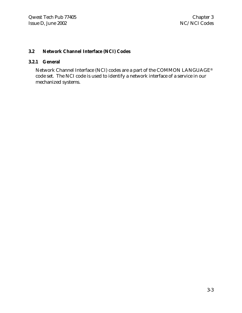# **3.2 Network Channel Interface (NCI) Codes**

#### **3.2.1 General**

Network Channel Interface (NCI) codes are a part of the COMMON LANGUAGE® code set. The NCI code is used to identify a network interface of a service in our mechanized systems.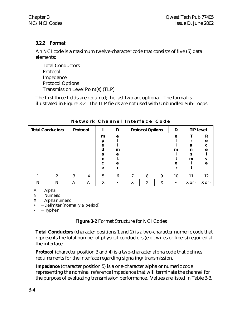# **3.2.2 Format**

An NCI code is a maximum twelve-character code that consists of five (5) data elements:

Total Conductors Protocol Impedance Protocol Options Transmission Level Point(s) (TLP)

The first three fields are required; the last two are optional. The format is illustrated in Figure 3-2. The TLP fields are not used with Unbundled Sub-Loops.

|   | <b>Total Conductors</b> |   | Protocol |   | D |        | <b>Protocol Options</b> |   | D         | <b>TLP Level</b> |        |
|---|-------------------------|---|----------|---|---|--------|-------------------------|---|-----------|------------------|--------|
|   |                         |   |          | m | e |        |                         |   | e         |                  | R      |
|   |                         |   |          | р |   |        |                         |   |           |                  | e      |
|   |                         |   |          | e |   |        |                         |   |           | a                | C      |
|   |                         |   |          | d | m |        |                         |   | m         | n                | e      |
|   |                         |   |          | a | e |        |                         |   |           | ς                |        |
|   |                         |   |          | n |   |        |                         |   |           | m                |        |
|   |                         |   |          | с | e |        |                         |   | e         |                  | e      |
|   |                         |   |          | e |   |        |                         |   |           |                  |        |
|   | ◠                       | 3 | 4        | 5 | 6 |        | 8                       | 9 | 10        | 11               | 12     |
| N | N                       | A | Α        | Χ |   | v<br>⋏ | Χ                       | Χ | $\bullet$ | X or -           | X or - |

**Network Channel Interface Code**

 $A = Alpha$ 

N = Numeric

 $X =$  Alphanumeric

• = Delimiter (normally a period)

 $=$  Hyphen

# **Figure 3-2** Format Structure for NCI Codes

**Total Conductors** (character positions 1 and 2) is a two-character numeric code that represents the total number of physical conductors (e.g., wires or fibers) required at the interface.

**Protocol** (character position 3 and 4) is a two-character alpha code that defines requirements for the interface regarding signaling/transmission.

**Impedance** (character position 5) is a one-character alpha or numeric code representing the nominal reference impedance that will terminate the channel for the purpose of evaluating transmission performance. Values are listed in Table 3-3.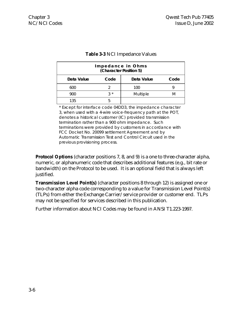| Impedance in Ohms<br>(Character Position 5) |      |            |      |  |
|---------------------------------------------|------|------------|------|--|
| Data Value                                  | Code | Data Value | Code |  |
| 600                                         |      | 100        |      |  |
| 900                                         | ? ∗  | Multiple   | M    |  |
| 135                                         |      |            |      |  |

# **Table 3-3** NCI Impedance Values

\* Except for interface code 04DD3, the impedance character 3, when used with a 4-wire voice-frequency path at the POT, denotes a historical customer (IC) provided transmission termination rather than a 900 ohm impedance. Such terminations were provided by customers in accordance with FCC Docket No. 20099 settlement Agreement and by Automatic Transmission Test and Control Circuit used in the previous provisioning process.

**Protocol Options** (character positions 7, 8, and 9) is a one to three-character alpha, numeric, or alphanumeric code that describes additional features (e.g., bit rate or bandwidth) on the Protocol to be used. It is an optional field that is always left justified.

**Transmission Level Point(s)** (character positions 8 through 12) is assigned one or two-character alpha code corresponding to a value for Transmission Level Point(s) (TLPs) from either the Exchange Carrier/service provider or customer end. TLPs may not be specified for services described in this publication.

Further information about NCI Codes may be found in ANSI T1.223-1997.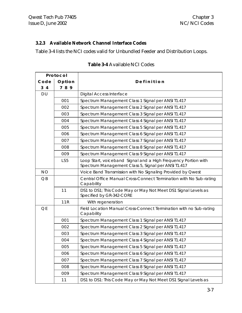# **3.2.3 Available Network Channel Interface Codes**

Table 3-4 lists the NCI codes valid for Unbundled Feeder and Distribution Loops.

| Protocol        |                 |                                                                                                                       |
|-----------------|-----------------|-----------------------------------------------------------------------------------------------------------------------|
| Code            | Option          | Definition                                                                                                            |
| 3 <sub>4</sub>  | 789             |                                                                                                                       |
| <b>DU</b>       |                 | <b>Digital Access Interface</b>                                                                                       |
|                 | 001             | Spectrum Management Class 1 Signal per ANSI T1.417                                                                    |
|                 | 002             | Spectrum Management Class 2 Signal per ANSI T1.417                                                                    |
|                 | 003             | Spectrum Management Class 3 Signal per ANSI T1.417                                                                    |
|                 | 004             | Spectrum Management Class 4 Signal per ANSI T1.417                                                                    |
|                 | 005             | Spectrum Management Class 5 Signal per ANSI T1.417                                                                    |
|                 | 006             | Spectrum Management Class 6 Signal per ANSI T1.417                                                                    |
|                 | 007             | Spectrum Management Class 7 Signal per ANSI T1.417                                                                    |
|                 | 008             | Spectrum Management Class 8 Signal per ANSI T1.417                                                                    |
|                 | 009             | Spectrum Management Class 9 Signal per ANSI T1.417                                                                    |
|                 | LS <sub>5</sub> | Loop Start, voiceband Signal and a High Frequency Portion with<br>Spectrum Management Class 5, Signal per ANSI T1.417 |
| <b>NO</b>       |                 | Voice Band Transmission with No Signaling Provided by Qwest                                                           |
| $\overline{OB}$ |                 | Central Office Manual Cross-Connect Termination with No Sub-rating<br>Capability                                      |
|                 | 11              | DS1 to DS1; This Code May or May Not Meet DS1 Signal Levels as<br>Specified by GR-342-CORE                            |
|                 | 11R             | With regeneration                                                                                                     |
| QE              |                 | Field Location Manual Cross-Connect Termination with no Sub-rating<br>Capability                                      |
|                 | 001             | Spectrum Management Class 1 Signal per ANSI T1.417                                                                    |
|                 | 002             | Spectrum Management Class 2 Signal per ANSI T1.417                                                                    |
|                 | 003             | Spectrum Management Class 3 Signal per ANSI T1.417                                                                    |
|                 | 004             | Spectrum Management Class 4 Signal per ANSI T1.417                                                                    |
|                 | 005             | Spectrum Management Class 5 Signal per ANSI T1.417                                                                    |
|                 | 006             | Spectrum Management Class 6 Signal per ANSI T1.417                                                                    |
|                 | 007             | Spectrum Management Class 7 Signal per ANSI T1.417                                                                    |
|                 | 008             | Spectrum Management Class 8 Signal per ANSI T1.417                                                                    |
|                 | 009             | Spectrum Management Class 9 Signal per ANSI T1.417                                                                    |
|                 | 11              | DS1 to DS1: This Code May or May Not Meet DS1 Signal Levels as                                                        |

# **Table 3-4** Available NCI Codes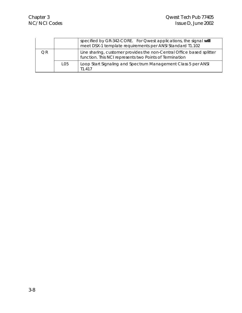|    |     | specified by GR-342-CORE. For Qwest applications, the signal will<br>meet DSX-1 template requirements per ANSI Standard T1.102   |
|----|-----|----------------------------------------------------------------------------------------------------------------------------------|
| OR |     | Line sharing, customer provides the non-Central Office based splitter<br>function. This NCI represents two Points of Termination |
|    | L05 | Loop Start Signaling and Spectrum Management Class 5 per ANSI<br>T1 417                                                          |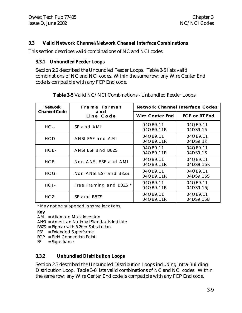#### **3.3 Valid Network Channel/Network Channel Interface Combinations**

This section describes valid combinations of NC and NCI codes.

#### **3.3.1 Unbundled Feeder Loops**

Section 2.2 described the Unbundled Feeder Loops. Table 3-5 lists valid combinations of NC and NCI codes. Within the same row; any Wire Center End code is compatible with any FCP End code.

| <b>Network</b>      | Frame Format            | Network Channel Interface Codes |                       |  |
|---------------------|-------------------------|---------------------------------|-----------------------|--|
| <b>Channel Code</b> | and<br>Line Code        | Wire Center End                 | FCP or RT End         |  |
| $HC -$              | SF and AMI              | 04QB9.11<br>04QB9.11R           | 04QE9.11<br>04DS9.15  |  |
| HCD-                | ANSI ESF and AMI        | 04QB9.11<br>04QB9.11R           | 04QE9.11<br>04DS9.1K  |  |
| $HCE-$              | ANSI ESF and B8ZS       | 04QB9.11<br>04 Q B 9.11 R       | 04QE9.11<br>04DS9.1S  |  |
| HCF-                | Non-ANSI ESF and AMI    | 04QB9.11<br>04QB9.11R           | 04QE9.11<br>04DS9.15K |  |
| HCG-                | Non-ANSI ESF and B8ZS   | 04QB9.11<br>04 Q B 9 . 11 R     | 04QE9.11<br>04DS9.15S |  |
| HCJ-                | Free Framing and B8ZS * | 04QB9.11<br>04QB9.11R           | 04QE9.11<br>04DS9.15J |  |
| HCZ-                | SF and B8ZS             | 04QB9.11<br>04QB9.11R           | 04QE9.11<br>04DS9.15B |  |

#### **Table 3-5** Valid NC/NCI Combinations - Unbundled Feeder Loops

\* May not be supported in some locations.

**Key**

- AMI = Alternate Mark Inversion
- ANSI = American National Standards Institute
- B8ZS = Bipolar with 8 Zero Substitution
- ESF = Extended Superframe
- FCP = Field Connection Point
- SF = Superframe

# **3.3.2 Unbundled Distribution Loops**

Section 2.3 described the Unbundled Distribution Loops including Intra-Building Distribution Loop. Table 3-6 lists valid combinations of NC and NCI codes. Within the same row; any Wire Center End code is compatible with any FCP End code.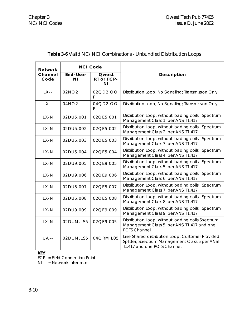| Network         | <b>NCI Code</b>                             |               |                                                                                                                                    |  |
|-----------------|---------------------------------------------|---------------|------------------------------------------------------------------------------------------------------------------------------------|--|
| Channel<br>Code | End-User<br>Qwest<br>RT or FCP-<br>ΝI<br>ΝI |               | Description                                                                                                                        |  |
| $LX -$          | 02NO2                                       | 02QD2.OO<br>F | Distribution Loop, No Signaling; Transmission Only                                                                                 |  |
| $LX -$          | 04NO2                                       | 04QD2.OO<br>F | Distribution Loop, No Signaling; Transmission Only                                                                                 |  |
| $LX - N$        | 02DU5.001                                   | 02QE5.001     | Distribution Loop, without loading coils, Spectrum<br>Management Class 1 per ANSI T1.417                                           |  |
| $LX - N$        | 02DU5.002                                   | 02QE5.002     | Distribution Loop, without loading coils, Spectrum<br>Management Class 2 per ANSI T1.417                                           |  |
| $LX - N$        | 02DU5.003                                   | 02QE5.003     | Distribution Loop, without loading coils, Spectrum<br>Management Class 3 per ANSI T1.417                                           |  |
| $LX - N$        | 02DU5.004                                   | 02QE5.004     | Distribution Loop, without loading coils, Spectrum<br>Management Class 4 per ANSI T1.417                                           |  |
| $LX - N$        | 02DU9.005                                   | 02QE9.005     | Distribution Loop, without loading coils, Spectrum<br>Management Class 5 per ANSI T1.417                                           |  |
| $LX - N$        | 02DU9.006                                   | 02QE9.006     | Distribution Loop, without loading coils, Spectrum<br>Management Class 6 per ANSI T1.417                                           |  |
| $LX-N$          | 02DU5.007                                   | 02QE5.007     | Distribution Loop, without loading coils, Spectrum<br>Management Class 7 per ANSI T1.417                                           |  |
| $LX - N$        | 02DU5.008                                   | 02QE5.008     | Distribution Loop, without loading coils, Spectrum<br>Management Class 8 per ANSI T1.417                                           |  |
| $LX - N$        | 02DU9.009                                   | 02QE9.009     | Distribution Loop, without loading coils, Spectrum<br>Management Class 9 per ANSI T1.417                                           |  |
| $LX - N$        | 02DUM.LS5                                   | 02QE9.005     | Distribution Loop, without loading coils Spectrum<br>Management Class 5 per ANSI T1.417 and one<br><b>POTS Channel</b>             |  |
| $U$ A - -       | 02DUM.LS5                                   | 04QRM.L05     | Line Shared distribution Loop, Customer Provided<br>Splitter, Spectrum Management Class 5 per ANSI<br>T1.417 and one POTS Channel. |  |

# **Table 3-6** Valid NC/NCI Combinations - Unbundled Distribution Loops

#### **KEY**

FCP = Field Connection Point

NI = Network Interface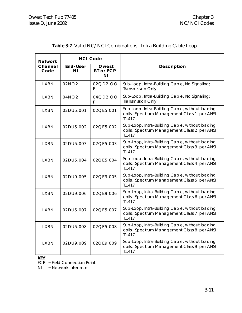| Network         |                | <b>NCI Code</b>                       |                                                                                                          |
|-----------------|----------------|---------------------------------------|----------------------------------------------------------------------------------------------------------|
| Channel<br>Code | End-User<br>ΝI | Qwest<br>RT or FCP-<br>N <sub>1</sub> | Description                                                                                              |
| <b>LXBN</b>     | 02NO2          | 02QD2.OO<br>F                         | Sub-Loop, Intra-Building Cable, No Signaling;<br><b>Transmission Only</b>                                |
| <b>LXBN</b>     | 04NO2          | 04QD2.OO<br>F                         | Sub-Loop, Intra-Building Cable, No Signaling;<br><b>Transmission Only</b>                                |
| <b>LXBN</b>     | 02DU5.001      | 02QE5.001                             | Sub-Loop, Intra-Building Cable, without loading<br>coils, Spectrum Management Class 1 per ANSI<br>T1.417 |
| <b>LXBN</b>     | 02DU5.002      | 02QE5.002                             | Sub-Loop, Intra-Building Cable, without loading<br>coils, Spectrum Management Class 2 per ANSI<br>T1.417 |
| <b>LXBN</b>     | 02DU5.003      | 02QE5.003                             | Sub-Loop, Intra-Building Cable, without loading<br>coils, Spectrum Management Class 3 per ANSI<br>T1.417 |
| <b>LXBN</b>     | 02DU5.004      | 02QE5.004                             | Sub-Loop, Intra-Building Cable, without loading<br>coils, Spectrum Management Class 4 per ANSI<br>T1.417 |
| <b>LXBN</b>     | 02DU9.005      | 02OE9.005                             | Sub-Loop, Intra-Building Cable, without loading<br>coils, Spectrum Management Class 5 per ANSI<br>T1.417 |
| <b>LXBN</b>     | 02DU9.006      | 02QE9.006                             | Sub-Loop, Intra-Building Cable, without loading<br>coils, Spectrum Management Class 6 per ANSI<br>T1.417 |
| <b>LXBN</b>     | 02DU5.007      | 02QE5.007                             | Sub-Loop, Intra-Building Cable, without loading<br>coils, Spectrum Management Class 7 per ANSI<br>T1.417 |
| <b>LXBN</b>     | 02DU5.008      | 02QE5.008                             | Sub-Loop, Intra-Building Cable, without loading<br>coils, Spectrum Management Class 8 per ANSI<br>T1.417 |
| <b>LXBN</b>     | 02DU9.009      | 02QE9.009                             | Sub-Loop, Intra-Building Cable, without loading<br>coils, Spectrum Management Class 9 per ANSI<br>T1.417 |

# **Table 3-7** Valid NC/NCI Combinations - Intra-Building Cable Loop

#### **KEY**

 $\overline{FCP}$  = Field Connection Point

NI = Network Interface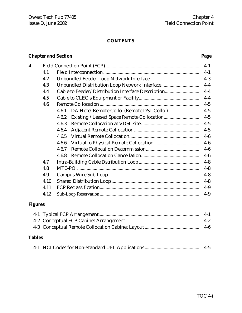# **CONTENTS**

# **Chapter and Section Page**

| 4. |      |                                                    | $4-1$   |
|----|------|----------------------------------------------------|---------|
|    | 4.1  |                                                    | $4-1$   |
|    | 4.2  |                                                    | $4-3$   |
|    | 4.3  |                                                    | $4-4$   |
|    | 4.4  | Cable to Feeder/Distribution Interface Description | $4-4$   |
|    | 4.5  |                                                    | $4-4$   |
|    | 4.6  |                                                    | $4 - 5$ |
|    |      | 4.6.1                                              | $4 - 5$ |
|    |      | 4.6.2                                              | $4 - 5$ |
|    |      | 4.6.3                                              | $4 - 5$ |
|    |      | 4.6.4                                              | $4 - 5$ |
|    |      | 4.6.5                                              | $4-6$   |
|    |      | 4.6.6                                              | $4-6$   |
|    |      | 4.6.7                                              | $4-6$   |
|    |      | 4.6.8                                              | $4-6$   |
|    | 4.7  |                                                    | $4 - 8$ |
|    | 4.8  |                                                    | $4 - 8$ |
|    | 4.9  |                                                    | $4 - 8$ |
|    | 4.10 |                                                    | $4 - 8$ |
|    | 4.11 |                                                    | $4-9$   |
|    | 4.12 |                                                    | $4-9$   |

# **Figures**

# **Tables**

|  |  | $4 - 5$ |  |  |
|--|--|---------|--|--|
|--|--|---------|--|--|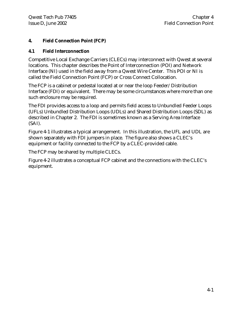# **4. Field Connection Point (FCP)**

# **4.1 Field Interconnection**

Competitive Local Exchange Carriers (CLECs) may interconnect with Qwest at several locations. This chapter describes the Point of Interconnection (POI) and Network Interface (NI) used in the field away from a Qwest Wire Center. This POI or NI is called the Field Connection Point (FCP) or Cross Connect Collocation.

The FCP is a cabinet or pedestal located at or near the loop Feeder/Distribution Interface (FDI) or equivalent. There may be some circumstances where more than one such enclosure may be required.

The FDI provides access to a loop and permits field access to Unbundled Feeder Loops (UFLs) Unbundled Distribution Loops (UDLs) and Shared Distribution Loops (SDL) as described in Chapter 2. The FDI is sometimes known as a Serving Area Interface (SAI).

Figure 4-1 illustrates a typical arrangement. In this illustration, the UFL and UDL are shown separately with FDI jumpers in place. The figure also shows a CLEC's equipment or facility connected to the FCP by a CLEC-provided cable.

The FCP may be shared by multiple CLECs.

Figure 4-2 illustrates a conceptual FCP cabinet and the connections with the CLEC's equipment.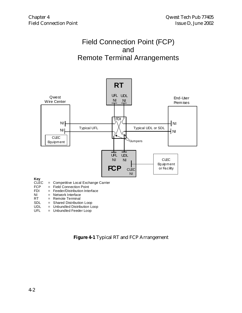# Field Connection Point (FCP) and Remote Terminal Arrangements



- 
- RT = Remote Terminal<br>SDL = Shared Distribution
- SDL = Shared Distribution Loop<br>UDL = Unbundled Distribution Lo = Unbundled Distribution Loop
- UFL = Unbundled Feeder Loop

**Figure 4-1** Typical RT and FCP Arrangement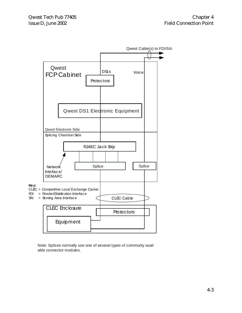

Note: Splices normally use one of several types of commonly avail able connector modules.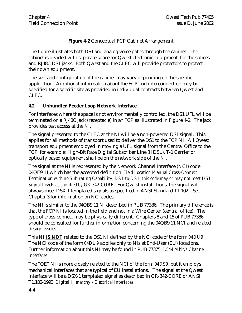# **Figure 4-2** Conceptual FCP Cabinet Arrangement

The figure illustrates both DS1 and analog voice paths through the cabinet. The cabinet is divided with separate space for Qwest electronic equipment, for the splices and RJ48C DS1 jacks. Both Qwest and the CLEC will provide protectors to protect their own equipment.

The size and configuration of the cabinet may vary depending on the specific application. Additional information about the FCP and interconnection may be specified for a specific site as provided in individual contracts between Qwest and CLEC.

# **4.2 Unbundled Feeder Loop Network Interface**

For interfaces where the space is not environmentally controlled, the DS1 UFL will be terminated on a RJ48C jack (receptacle) in an FCP as illustrated in Figure 4-2. The jack provides test access at the NI.

The signal presented to the CLEC at the NI will be a non-powered DS1 signal. This applies for all methods of transport used to deliver the DS1 to the FCP NI. All Qwest transport equipment employed in moving a UFL signal from the Central Office to the FCP, for example; High-Bit Rate Digital Subscriber Line (HDSL), T-1 Carrier or optically based equipment shall be on the network side of the NI.

The signal at the NI is represented by the Network Channel Interface (NCI) code 04QE9.11 which has the accepted definition: *Field Location Manual Cross-Connect Termination with no Sub-rating Capability, DS1-to-DS1; this code may or may not meet DS1 Signal Levels as specified by GR-342-CORE*. For Qwest installations, the signal will always meet DSX-1 templated signals as specified in ANSI Standard T1.102. See Chapter 3 for information on NCI codes.

The NI is similar to the 04QB9.11 NI described in PUB 77386. The primary difference is that the FCP NI is located in the field and not in a Wire Center (central office). The type of cross-connect may be physically different. Chapters 8 and 15 of PUB 77386 should be consulted for further information concerning the 04QB9.11 NCI and related design issues.

This NI **IS NOT** related to the DS1 NI defined by the NCI code of the form *04DU9*. The NCI code of the form *04DU9* applies only to NIs at End-User (EU) locations. Further information about this NI may be found in PUB 77375, *1.544 Mbit/s Channel Interfaces.*

The "QE" NI is more closely related to the NCI of the form *04DS9*, but it employs mechanical interfaces that are typical of EU installations. The signal at the Qwest interface will be a DSX-1 templated signal as described in GR-342-CORE or ANSI T1.102-1993, *Digital Hierarchy - Electrical Interfaces*.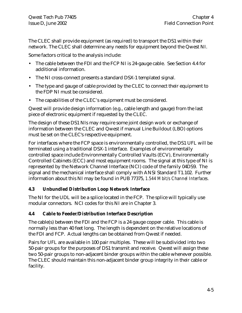The CLEC shall provide equipment (as required) to transport the DS1 within their network. The CLEC shall determine any needs for equipment beyond the Qwest NI.

Some factors critical to the analysis include:

- The cable between the FDI and the FCP NI is 24-gauge cable. See Section 4.4 for additional information.
- The NI cross-connect presents a standard DSX-1 templated signal.
- The type and gauge of cable provided by the CLEC to connect their equipment to the FDP NI must be considered.
- The capabilities of the CLEC's equipment must be considered.

Qwest will provide design information (e.g., cable length and gauge) from the last piece of electronic equipment if requested by the CLEC.

The design of these DS1 NIs may require some joint design work or exchange of information between the CLEC and Qwest if manual Line Buildout (LBO) options must be set on the CLEC's respective equipment.

For interfaces where the FCP space is environmentally controlled, the DS1 UFL will be terminated using a traditional DSX-1 interface. Examples of environmentally controlled space include Environmentally Controlled Vaults (ECV), Environmentally Controlled Cabinets (ECC) and most equipment rooms. The signal at this type of NI is represented by the Network Channel Interface (NCI) code of the family 04DS9. The signal and the mechanical interface shall comply with ANSI Standard T1.102. Further information about this NI may be found in PUB 77375, *1.544 Mbit/s Channel Interfaces.*

# **4.3 Unbundled Distribution Loop Network Interface**

The NI for the UDL will be a splice located in the FCP. The splice will typically use modular connectors. NCI codes for this NI are in Chapter 3.

# **4.4 Cable to Feeder/Distribution Interface Description**

The cable(s) between the FDI and the FCP is a 24 gauge copper cable. This cable is normally less than 40 feet long. The length is dependent on the relative locations of the FDI and FCP. Actual lengths can be obtained from Qwest if needed.

Pairs for UFL are available in 100 pair multiples. These will be subdivided into two 50-pair groups for the purposes of DS1 transmit and receive. Qwest will assign these two 50-pair groups to non-adjacent binder groups within the cable whenever possible. The CLEC should maintain this non-adjacent binder group integrity in their cable or facility.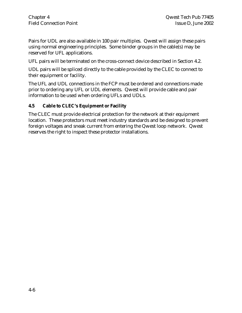Pairs for UDL are also available in 100 pair multiples. Qwest will assign these pairs using normal engineering principles. Some binder groups in the cable(s) may be reserved for UFL applications.

UFL pairs will be terminated on the cross-connect device described in Section 4.2.

UDL pairs will be spliced directly to the cable provided by the CLEC to connect to their equipment or facility.

The UFL and UDL connections in the FCP must be ordered and connections made prior to ordering any UFL or UDL elements. Qwest will provide cable and pair information to be used when ordering UFLs and UDLs.

# **4.5 Cable to CLEC's Equipment or Facility**

The CLEC must provide electrical protection for the network at their equipment location. These protectors must meet industry standards and be designed to prevent foreign voltages and sneak current from entering the Qwest loop network. Qwest reserves the right to inspect these protector installations.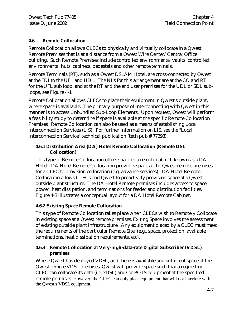# **4.6 Remote Collocation**

Remote Collocation allows CLECs to physically and virtually collocate in a Qwest Remote Premises that is at a distance from a Qwest Wire Center/Central Office building. Such Remote Premises include controlled environmental vaults, controlled environmental huts, cabinets, pedestals and other remote terminals.

Remote Terminals (RT), such as a Qwest DSLAM Hotel, are cross-connected by Qwest at the FDI to the UFL and UDL. The NI's for this arrangement are at the CO and RT for the UFL sub loop, and at the RT and the end user premises for the UDL or SDL subloops, see Figure 4-1.

Remote Collocation allows CLECs to place their equipment in Qwest's outside plant, where space is available. The primary purpose of interconnecting with Qwest in this manner is to access Unbundled Sub-Loop Elements. Upon request, Qwest will perform a feasibility study to determine if space is available at the specific Remote Collocation Premises. Remote Collocation can also be used as a means of establishing Local Interconnection Services (LIS). For further information on LIS, see the "Local Interconnection Service" technical publication (tech pub # 77398).

# **4.6.1 Distribution Area (DA) Hotel Remote Collocation (Remote DSL Collocation)**

This type of Remote Collocation offers space in a remote cabinet, known as a DA Hotel. DA Hotel Remote Collocation provides space at the Qwest remote premises for a CLEC to provision collocation (e.g. advance services). DA Hotel Remote Collocation allows CLECs and Qwest to proactively provision space at a Qwest outside plant structure. The DA Hotel Remote premises includes access to space, power, heat dissipation, and terminations for feeder and distribution facilities. Figure 4-3 illustrates a conceptual layout for a DA Hotel Remote Cabinet.

# **4.6.2 Existing Space Remote Collocation**

This type of Remote Collocation takes place when CLECs wish to Remotely Collocate in existing space at a Qwest remote premises. Exiting Space involves the assessment of existing outside plant infrastructure. Any equipment placed by a CLEC must meet the requirements of the particular Remote Site, (e.g., space, protection, available terminations, heat dissipation requirements, etc).

# **4.6.3 Remote Collocation at Very-high-data-rate Digital Subscriber (VDSL) premises**

Where Qwest has deployed VDSL, and there is available and sufficient space at the Qwest remote VDSL premises, Qwest will provide space such that a requesting CLEC can collocate its data (i.e. xDSL) and/or POTS equipment at the specified remote premises. However, the CLEC can only place equipment that will not interfere with the Qwest's VDSL equipment.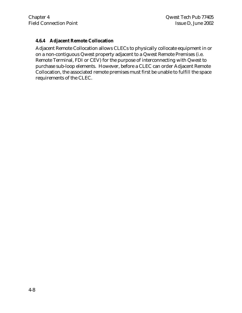# **4.6.4 Adjacent Remote Collocation**

Adjacent Remote Collocation allows CLECs to physically collocate equipment in or on a non-contiguous Qwest property adjacent to a Qwest Remote Premises (i.e. Remote Terminal, FDI or CEV) for the purpose of interconnecting with Qwest to purchase sub-loop elements. However, before a CLEC can order Adjacent Remote Collocation, the associated remote premises must first be unable to fulfill the space requirements of the CLEC.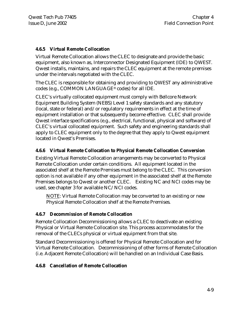# **4.6.5 Virtual Remote Collocation**

Virtual Remote Collocation allows the CLEC to designate and provide the basic equipment, also known as, Interconnector Designated Equipment (IDE) to QWEST. Qwest installs, maintains, and repairs the CLEC equipment at the remote premises under the intervals negotiated with the CLEC.

The CLEC is responsible for obtaining and providing to QWEST any administrative codes (e.g., COMMON LANGUAGE® codes) for all IDE.

CLEC's virtually collocated equipment must comply with Bellcore Network Equipment Building System (NEBS) Level 1 safety standards and any statutory (local, state or federal) and/or regulatory requirements in effect at the time of equipment installation or that subsequently become effective. CLEC shall provide Qwest interface specifications (e.g., electrical, functional, physical and software) of CLEC's virtual collocated equipment. Such safety and engineering standards shall apply to CLEC equipment only to the degree that they apply to Qwest equipment located in Qwest's Premises.

# **4.6.6 Virtual Remote Collocation to Physical Remote Collocation Conversion**

Existing Virtual Remote Collocation arrangements may be converted to Physical Remote Collocation under certain conditions. All equipment located in the associated shelf at the Remote Premises must belong to the CLEC. This conversion option is not available if any other equipment in the associated shelf at the Remote Premises belongs to Qwest or another CLEC. Existing NC and NCI codes may be used, see chapter 3 for available NC/NCI codes.

NOTE: Virtual Remote Collocation may be converted to an existing or new Physical Remote Collocation shelf at the Remote Premises.

# **4.6.7 Decommission of Remote Collocation**

Remote Collocation Decommissioning allows a CLEC to deactivate an existing Physical or Virtual Remote Collocation site. This process accommodates for the removal of the CLECs physical or virtual equipment from that site.

Standard Decommissioning is offered for Physical Remote Collocation and for Virtual Remote Collocation. Decommissioning of other forms of Remote Collocation (i.e. Adjacent Remote Collocation) will be handled on an Individual Case Basis.

# **4.6.8 Cancellation of Remote Collocation**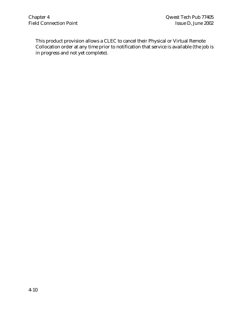This product provision allows a CLEC to cancel their Physical or Virtual Remote Collocation order at any time prior to notification that service is available (the job is in progress and not yet complete).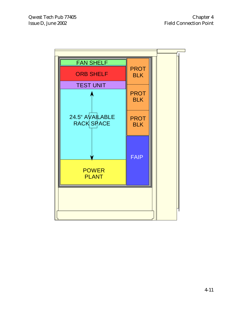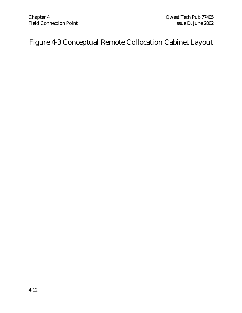# Figure 4-3 Conceptual Remote Collocation Cabinet Layout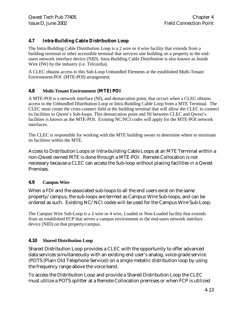# **4.7 Intra-Building Cable Distribution Loop**

The Intra-Building Cable Distribution Loop is a 2 wire or 4 wire facility that extends from a building terminal or other accessible terminal that services one building on a property to the endusers network interface device (NID). Intra-Building Cable Distribution is also known as Inside Wire (IW) by the industry (i.e. Telcordia).

A CLEC obtains access to this Sub-Loop Unbundled Elements at the established Multi-Tenant Environment-POI (MTE-POI) arrangement.

#### **4.8 Multi-Tenant Environment (MTE) POI**

A MTE-POI is a network interface (NI), and demarcation point, that occurs when a CLEC obtains access to the Unbundled Distribution Loop or Intra-Building Cable Loop from a MTE Terminal. The CLEC must create the cross-connect field at the building terminal that will allow the CLEC to connect its facilities to Qwest's Sub-loops. This demarcation point and NI between CLEC and Qwest's facilities is known as the MTE-POI. Existing NC/NCI codes will apply for the MTE-POI network interfaces.

The CLEC is responsible for working with the MTE building owner to determine where to terminate its facilities within the MTE.

Access to Distribution Loops or Intra-building Cable Loops at an MTE Terminal within a non-Qwest owned MTE is done through a MTE-POI. Remote Collocation is not necessary because a CLEC can access the Sub-loop without placing facilities in a Qwest Premises.

# **4.9 Campus Wire**

When a FDI and the associated sub-loops to all the end users exist on the same property/campus, the sub-loops are termed as Campus Wire Sub-loops, and can be ordered as such. Existing NC/NCI codes will be used for the Campus Wire Sub-Loop.

The Campus Wire Sub-Loop is a 2 wire or 4 wire, Loaded or Non-Loaded facility that extends from an established FCP that serves a campus environment to the end-users network interface device (NID) on that property/campus.

#### **4.10 Shared Distribution Loop**

Shared Distribution Loop provides a CLEC with the opportunity to offer advanced data services simultaneously with an existing end user's analog, voice-grade service (POTS (Plain Old Telephone Service)) on a single metallic distribution loop by using the frequency range above the voice band.

To access the Distribution Loop and provide a Shared Distribution Loop the CLEC must utilize a POTS splitter at a Remote Collocation premises or when FCP is utilized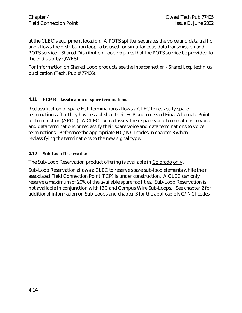at the CLEC's equipment location. A POTS splitter separates the voice and data traffic and allows the distribution loop to be used for simultaneous data transmission and POTS service. Shared Distribution Loop requires that the POTS service be provided to the end user by QWEST.

For information on Shared Loop products see the *Interconnection - Shared Loop* technical publication (Tech. Pub # 77406).

# **4.11 FCP Reclassification of spare terminations**

Reclassification of spare FCP terminations allows a CLEC to reclassify spare terminations after they have established their FCP and received Final Alternate Point of Termination (APOT). A CLEC can reclassify their spare voice terminations to voice and data terminations or reclassify their spare voice and data terminations to voice terminations. Reference the appropriate NC/NCI codes in chapter 3 when reclassifying the terminations to the new signal type.

#### **4.12 Sub-Loop Reservation**

The Sub-Loop Reservation product offering is available in Colorado only.

Sub-Loop Reservation allows a CLEC to reserve spare sub-loop elements while their associated Field Connection Point (FCP) is under construction. A CLEC can only reserve a maximum of 20% of the available spare facilities. Sub-Loop Reservation is not available in conjunction with IBC and Campus Wire Sub-Loops. See chapter 2 for additional information on Sub-Loops and chapter 3 for the applicable NC/NCI codes.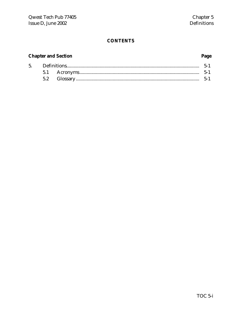#### **CONTENTS**

# **Chapter and Section**

#### 5.  $\textbf{Definitions} \textcolor{red}{.}\textcolor{blue}{.}\textcolor{blue}{.}\textcolor{blue}{.}\textcolor{blue}{.}\textcolor{blue}{.}\textcolor{blue}{.}\textcolor{blue}{.}\textcolor{blue}{.}\textcolor{blue}{.}\textcolor{blue}{.}\textcolor{blue}{.}\textcolor{blue}{.}\textcolor{blue}{.}\textcolor{blue}{.}\textcolor{blue}{.}\textcolor{blue}{.}\textcolor{blue}{.}\textcolor{blue}{.}\textcolor{blue}{.}\textcolor{blue}{.}\textcolor{blue}{.}\textcolor{blue}{.}\textcolor{blue}{.}\textcolor{blue}{.}\textcolor{blue}{.}\textcolor{blue}{.}\textcolor{blue}{.}\textcolor{blue}{.}\textcolor{blue}{.}\textcolor{$  $5 - 1$ 5.1  $5.2$

#### Page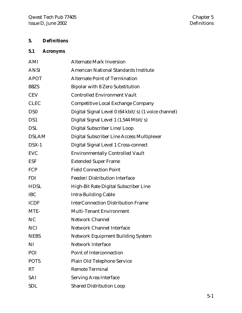# **5. Definitions**

# **5.1 Acronyms**

| AMI             | <b>Alternate Mark Inversion</b>                      |
|-----------------|------------------------------------------------------|
| <b>ANSI</b>     | <b>American National Standards Institute</b>         |
| <b>APOT</b>     | <b>Alternate Point of Termination</b>                |
| B8ZS            | <b>Bipolar with 8 Zero Substitution</b>              |
| <b>CEV</b>      | <b>Controlled Environment Vault</b>                  |
| <b>CLEC</b>     | <b>Competitive Local Exchange Company</b>            |
| DS <sub>0</sub> | Digital Signal Level 0 (64 kbit/s) (1 voice channel) |
| DS1             | Digital Signal Level 1 (1.544 Mbit/s)                |
| <b>DSL</b>      | Digital Subscriber Line/Loop                         |
| <b>DSLAM</b>    | Digital Subscriber Line Access Multiplexer           |
| $DSX-1$         | Digital Signal Level 1 Cross-connect                 |
| <b>EVC</b>      | <b>Environmentally Controlled Vault</b>              |
| <b>ESF</b>      | <b>Extended Super Frame</b>                          |
| FCP             | <b>Field Connection Point</b>                        |
| <b>FDI</b>      | Feeder/Distribution Interface                        |
| <b>HDSL</b>     | High-Bit Rate Digital Subscriber Line                |
| <b>IBC</b>      | <b>Intra-Building Cable</b>                          |
| <b>ICDF</b>     | <b>InterConnection Distribution Frame</b>            |
| MTE-            | <b>Multi-Tenant Environment</b>                      |
| <b>NC</b>       | <b>Network Channel</b>                               |
| <b>NCI</b>      | <b>Network Channel Interface</b>                     |
| <b>NEBS</b>     | <b>Network Equipment Building System</b>             |
| NI              | <b>Network Interface</b>                             |
| POI             | <b>Point of Interconnection</b>                      |
| <b>POTS</b>     | Plain Old Telephone Service                          |
| <b>RT</b>       | <b>Remote Terminal</b>                               |
| SAI             | <b>Serving Area Interface</b>                        |
| <b>SDL</b>      | <b>Shared Distribution Loop</b>                      |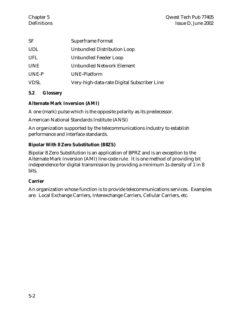| SF         | <b>Superframe Format</b>                    |
|------------|---------------------------------------------|
| <b>UDL</b> | Unbundled Distribution Loop                 |
| <b>UFL</b> | Unbundled Feeder Loop                       |
| <b>UNE</b> | <b>Unbundled Network Element</b>            |
| UNE-P      | <b>UNE-Platform</b>                         |
| VDSL       | Very-high-data-rate Digital Subscriber Line |

# **5.2 Glossary**

# **Alternate Mark Inversion (AMI)**

A one (mark) pulse which is the opposite polarity as its predecessor.

American National Standards Institute (ANSI)

An organization supported by the telecommunications industry to establish performance and interface standards.

# **Bipolar With 8 Zero Substitution (B8ZS)**

Bipolar 8 Zero Substitution is an application of BPRZ and is an exception to the Alternate Mark Inversion (AMI) line-code rule. It is one method of providing bit independence for digital transmission by providing a minimum 1s density of 1 in 8 bits.

# **Carrier**

An organization whose function is to provide telecommunications services. Examples are: Local Exchange Carriers, Interexchange Carriers, Cellular Carriers, etc.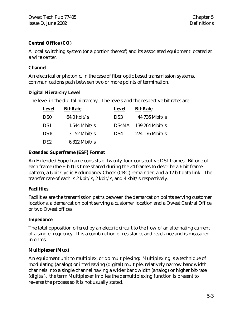# **Central Office (CO)**

A local switching system (or a portion thereof) and its associated equipment located at a wire center.

# **Channel**

An electrical or photonic, in the case of fiber optic based transmission systems, communications path between two or more points of termination.

# **Digital Hierarchy Level**

The level in the digital hierarchy. The levels and the respective bit rates are:

| <b>Level</b>      | <b>Bit Rate</b>       | <b>Level</b>    | <b>Bit Rate</b>  |
|-------------------|-----------------------|-----------------|------------------|
| D <sub>S0</sub>   | $64.0 \text{ kbit/s}$ | DS <sub>3</sub> | $44.736$ Mbit/s  |
| DS <sub>1</sub>   | $1.544$ Mbit/s        | DS4NA           | $139.264$ Mbit/s |
| DS <sub>1</sub> C | $3.152$ Mbit/s        | DS4             | $274.176$ Mbit/s |
| DS <sub>2</sub>   | $6.312$ Mbit/s        |                 |                  |

# **Extended Superframe (ESF) Format**

An Extended Superframe consists of twenty-four consecutive DS1 frames. Bit one of each frame (the F-bit) is time shared during the 24 frames to describe a 6 bit frame pattern, a 6 bit Cyclic Redundancy Check (CRC) remainder, and a 12 bit data link. The transfer rate of each is 2 kbit/s, 2 kbit/s, and 4 kbit/s respectively.

# **Facilities**

Facilities are the transmission paths between the demarcation points serving customer locations, a demarcation point serving a customer location and a Qwest Central Office, or two Qwest offices.

# **Impedance**

The total opposition offered by an electric circuit to the flow of an alternating current of a single frequency. It is a combination of resistance and reactance and is measured in ohms.

# **Multiplexer (Mux)**

An equipment unit to multiplex, or do multiplexing: Multiplexing is a technique of modulating (analog) or interleaving (digital) multiple, relatively narrow bandwidth channels into a single channel having a wider bandwidth (analog) or higher bit-rate (digital). the term Multiplexer implies the demultiplexing function is present to reverse the process so it is not usually stated.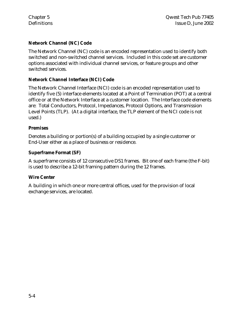# **Network Channel (NC) Code**

The Network Channel (NC) code is an encoded representation used to identify both switched and non-switched channel services. Included in this code set are customer options associated with individual channel services, or feature groups and other switched services.

# **Network Channel Interface (NCI) Code**

The Network Channel Interface (NCI) code is an encoded representation used to identify five (5) interface elements located at a Point of Termination (POT) at a central office or at the Network Interface at a customer location. The Interface code elements are: Total Conductors, Protocol, Impedances, Protocol Options, and Transmission Level Points (TLP). (At a digital interface, the TLP element of the NCI code is not used.)

# **Premises**

Denotes a building or portion(s) of a building occupied by a single customer or End-User either as a place of business or residence.

# **Superframe Format (SF)**

A superframe consists of 12 consecutive DS1 frames. Bit one of each frame (the F-bit) is used to describe a 12-bit framing pattern during the 12 frames.

# **Wire Center**

A building in which one or more central offices, used for the provision of local exchange services, are located.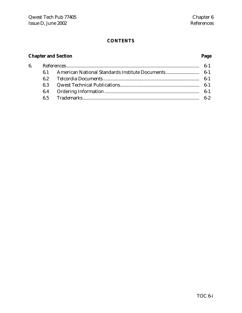# **CONTENTS**

# **Chapter and Section Page**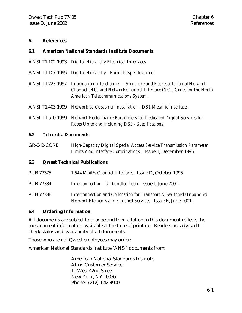#### **6. References**

#### **6.1 American National Standards Institute Documents**

- ANSI T1.102-1993 *Digital Hierarchy Electrical Interfaces.*
- ANSI T1.107-1995 *Digital Hierarchy Formats Specifications.*
- ANSI T1.223-1997 *Information Interchange Structure and Representation of Network Channel (NC) and Network Channel Interface (NCI) Codes for the North American Telecommunications System.*
- ANSI T1.403-1999 *Network-to-Customer Installation DS1 Metallic Interface.*
- ANSI T1.510-1999 *Network Performance Parameters for Dedicated Digital Services for Rates Up to and Including DS3 - Specifications.*

#### **6.2 Telcordia Documents**

GR-342-CORE *High-Capacity Digital Special Access Service Transmission Parameter Limits And Interface Combinations.* Issue 1, December 1995.

#### **6.3 Qwest Technical Publications**

| <b>PUB 77375</b> | 1.544 Mbit/s Channel Interfaces. Issue D, October 1995.                                                                           |
|------------------|-----------------------------------------------------------------------------------------------------------------------------------|
| <b>PUB 77384</b> | Interconnection - Unbundled Loop. Issue I, June 2001.                                                                             |
| <b>PUB 77386</b> | Interconnection and Collocation for Transport & Switched Unbundled<br>Network Elements and Finished Services. Issue E, June 2001. |

#### **6.4 Ordering Information**

All documents are subject to change and their citation in this document reflects the most current information available at the time of printing. Readers are advised to check status and availability of all documents.

Those who are not Qwest employees may order:

American National Standards Institute (ANSI) documents from:

American National Standards Institute Attn: Customer Service 11 West 42nd Street New York, NY 10036 Phone: (212) 642-4900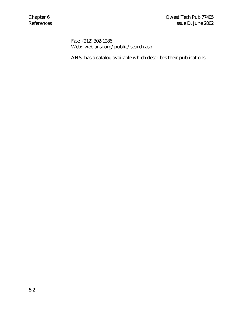Fax: (212) 302-1286 Web: web.ansi.org/public/search.asp

ANSI has a catalog available which describes their publications.